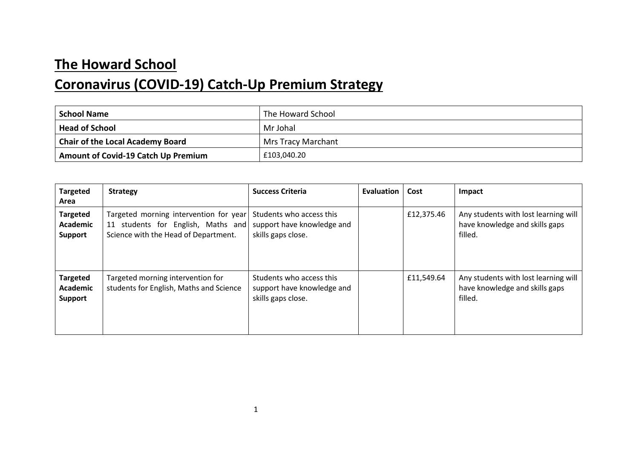## **The Howard School**

## **Coronavirus (COVID-19) Catch-Up Premium Strategy**

| <b>School Name</b>                         | The Howard School  |
|--------------------------------------------|--------------------|
| <b>Head of School</b>                      | Mr Johal           |
| <b>Chair of the Local Academy Board</b>    | Mrs Tracy Marchant |
| <b>Amount of Covid-19 Catch Up Premium</b> | £103,040.20        |

| <b>Targeted</b><br>Area                              | <b>Strategy</b>                                                                                                      | <b>Success Criteria</b>                                                      | Evaluation | Cost       | Impact                                                                            |
|------------------------------------------------------|----------------------------------------------------------------------------------------------------------------------|------------------------------------------------------------------------------|------------|------------|-----------------------------------------------------------------------------------|
| <b>Targeted</b><br><b>Academic</b><br><b>Support</b> | Targeted morning intervention for year<br>11 students for English, Maths and<br>Science with the Head of Department. | Students who access this<br>support have knowledge and<br>skills gaps close. |            | £12,375.46 | Any students with lost learning will<br>have knowledge and skills gaps<br>filled. |
| <b>Targeted</b><br><b>Academic</b><br><b>Support</b> | Targeted morning intervention for<br>students for English, Maths and Science                                         | Students who access this<br>support have knowledge and<br>skills gaps close. |            | £11,549.64 | Any students with lost learning will<br>have knowledge and skills gaps<br>filled. |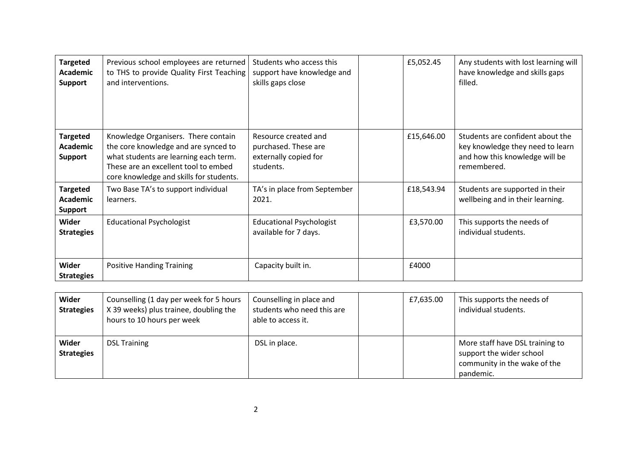| <b>Targeted</b><br><b>Academic</b><br><b>Support</b> | Previous school employees are returned<br>to THS to provide Quality First Teaching<br>and interventions.                                                                                                | Students who access this<br>support have knowledge and<br>skills gaps close        | £5,052.45  | Any students with lost learning will<br>have knowledge and skills gaps<br>filled.                                     |
|------------------------------------------------------|---------------------------------------------------------------------------------------------------------------------------------------------------------------------------------------------------------|------------------------------------------------------------------------------------|------------|-----------------------------------------------------------------------------------------------------------------------|
| <b>Targeted</b><br>Academic<br><b>Support</b>        | Knowledge Organisers. There contain<br>the core knowledge and are synced to<br>what students are learning each term.<br>These are an excellent tool to embed<br>core knowledge and skills for students. | Resource created and<br>purchased. These are<br>externally copied for<br>students. | £15,646.00 | Students are confident about the<br>key knowledge they need to learn<br>and how this knowledge will be<br>remembered. |
| <b>Targeted</b><br><b>Academic</b><br><b>Support</b> | Two Base TA's to support individual<br>learners.                                                                                                                                                        | TA's in place from September<br>2021.                                              | £18,543.94 | Students are supported in their<br>wellbeing and in their learning.                                                   |
| Wider<br><b>Strategies</b>                           | <b>Educational Psychologist</b>                                                                                                                                                                         | <b>Educational Psychologist</b><br>available for 7 days.                           | £3,570.00  | This supports the needs of<br>individual students.                                                                    |
| Wider<br><b>Strategies</b>                           | <b>Positive Handing Training</b>                                                                                                                                                                        | Capacity built in.                                                                 | £4000      |                                                                                                                       |

| Wider<br><b>Strategies</b> | Counselling (1 day per week for 5 hours<br>X 39 weeks) plus trainee, doubling the<br>hours to 10 hours per week | Counselling in place and<br>students who need this are<br>able to access it. | £7,635.00 | This supports the needs of<br>individual students.                                                       |
|----------------------------|-----------------------------------------------------------------------------------------------------------------|------------------------------------------------------------------------------|-----------|----------------------------------------------------------------------------------------------------------|
| Wider<br><b>Strategies</b> | <b>DSL Training</b>                                                                                             | DSL in place.                                                                |           | More staff have DSL training to<br>support the wider school<br>community in the wake of the<br>pandemic. |